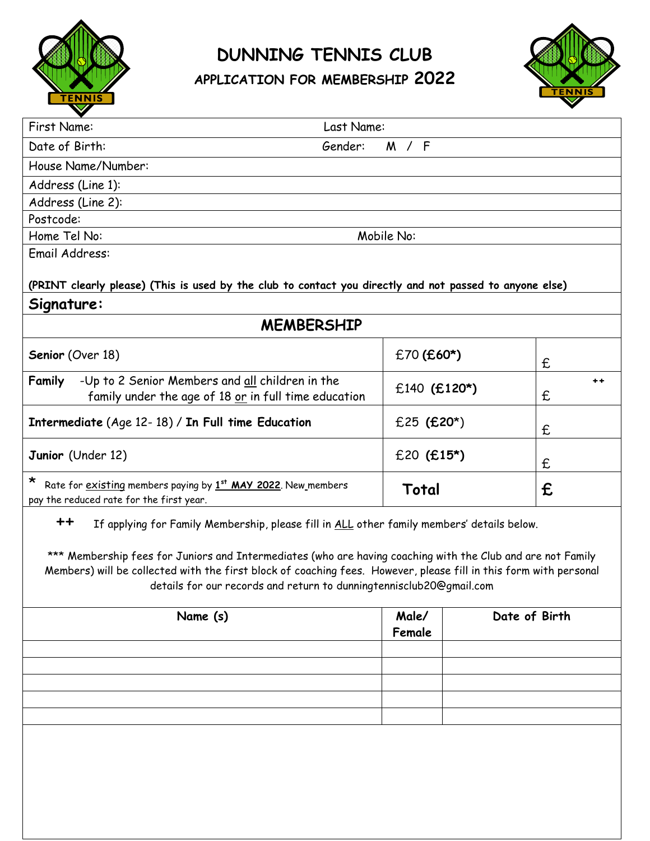

**DUNNING TENNIS CLUB**

**APPLICATION FOR MEMBERSHIP 2022**



| First Name:                                                                                                          | Last Name:          |            |
|----------------------------------------------------------------------------------------------------------------------|---------------------|------------|
| Date of Birth:                                                                                                       | Gender:<br>/ F<br>M |            |
| House Name/Number:                                                                                                   |                     |            |
| Address (Line 1):                                                                                                    |                     |            |
| Address (Line 2):                                                                                                    |                     |            |
| Postcode:                                                                                                            |                     |            |
| Home Tel No:                                                                                                         | Mobile No:          |            |
| Email Address:                                                                                                       |                     |            |
| (PRINT clearly please) (This is used by the club to contact you directly and not passed to anyone else)              |                     |            |
| Signature:                                                                                                           |                     |            |
| <b>MEMBERSHIP</b>                                                                                                    |                     |            |
| Senior (Over 18)                                                                                                     | $£70$ (£60*)        | £          |
| -Up to 2 Senior Members and all children in the<br>Family<br>family under the age of 18 or in full time education    | $£140$ (£120*)      | $+ +$<br>£ |
| Intermediate (Age 12-18) / In Full time Education                                                                    | £25 $(£20*)$        | £          |
| Junior (Under 12)                                                                                                    | $£20$ (£15*)        | £          |
| $\star$<br>Rate for existing members paying by 1st MAY 2022. New members<br>pay the reduced rate for the first year. | Total               | £          |
| If applying for Family Membership, please fill in ALL other family members' details below.                           |                     |            |

\*\*\* Membership fees for Juniors and Intermediates (who are having coaching with the Club and are not Family Members) will be collected with the first block of coaching fees. However, please fill in this form with personal details for our records and return to dunningtennisclub20@gmail.com

| Name (s) | Male/<br>Female | Date of Birth |
|----------|-----------------|---------------|
|          |                 |               |
|          |                 |               |
|          |                 |               |
|          |                 |               |
|          |                 |               |
|          |                 |               |
|          |                 |               |
|          |                 |               |
|          |                 |               |